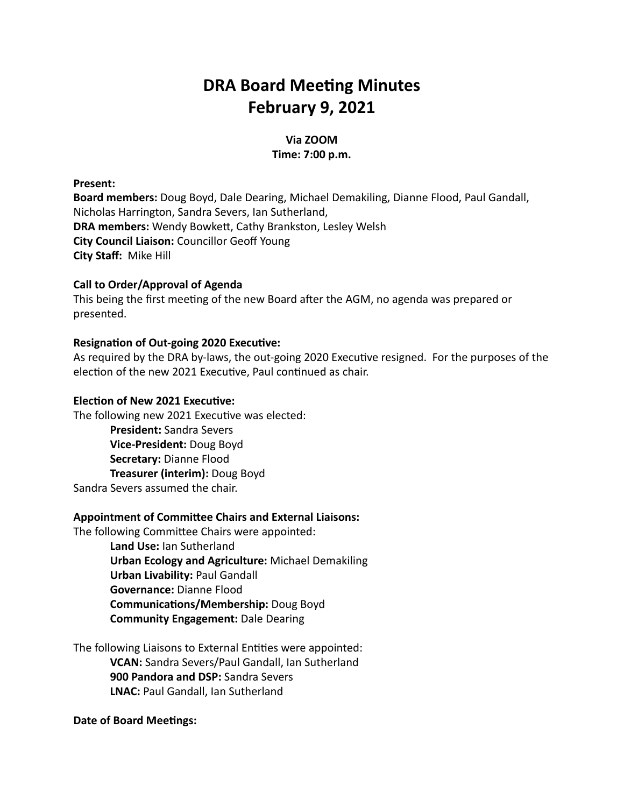# **DRA Board Meeting Minutes February 9, 2021**

# **Via ZOOM Time: 7:00 p.m.**

#### **Present:**

**Board members:** Doug Boyd, Dale Dearing, Michael Demakiling, Dianne Flood, Paul Gandall, Nicholas Harrington, Sandra Severs, Ian Sutherland, **DRA members: Wendy Bowkett, Cathy Brankston, Lesley Welsh City Council Liaison:** Councillor Geoff Young **City Staff:** Mike Hill

## **Call to Order/Approval of Agenda**

This being the first meeting of the new Board after the AGM, no agenda was prepared or presented.

## **Resignation of Out-going 2020 Executive:**

As required by the DRA by-laws, the out-going 2020 Executive resigned. For the purposes of the election of the new 2021 Executive, Paul continued as chair.

## **Election of New 2021 Executive:**

The following new 2021 Executive was elected: **President:** Sandra Severs **Vice-President:** Doug Boyd **Secretary:** Dianne Flood **Treasurer (interim):** Doug Boyd Sandra Severs assumed the chair.

## **Appointment of Committee Chairs and External Liaisons:**

The following Committee Chairs were appointed: **Land Use:** Ian Sutherland **Urban Ecology and Agriculture:** Michael Demakiling **Urban Livability:** Paul Gandall **Governance:** Dianne Flood **Communications/Membership: Doug Boyd Community Engagement:** Dale Dearing

The following Liaisons to External Entities were appointed: **VCAN:** Sandra Severs/Paul Gandall, Ian Sutherland **900 Pandora and DSP:** Sandra Severs **LNAC:** Paul Gandall, Ian Sutherland

## **Date of Board Meetings:**